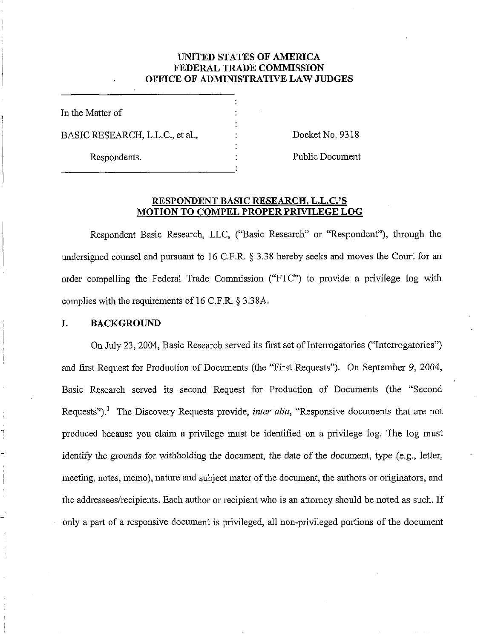## **UNITED STATES OF AMERICA FEDERAL TRADE COMMISSION OFFICE OF ADMINISTRATIVE LAW JUDGES**

| In the Matter of                |  |
|---------------------------------|--|
| BASIC RESEARCH, L.L.C., et al., |  |
| Respondents.                    |  |

Docket No. 9318

Public Docunent

# **RESPOYDENT BASIC RESEARCH. L.L.C.'S MOTION TO COMPEL PROPER PRIVILEGE LOG**

Respondent Basic Research, LLC, ("Basic Research" or "Respondent"), through the undersigned counsel and pursuant to 16 C.F.R. **5** 3.38 hereby seeks and moves the Court for an order compelling the Federal Trade Commission ("FTC") to provide a privilege log with complies with the requirements of 16 C.F.R. § 3.38A.

#### **I. BACKGROUND**

On July 23, 2004, Basic Research served its first set of Interrogatories ("Interrogatories") and frst Request for Production of Documents (the "First Requests"). On September 9, 2004, Basic Research served its second Request for Production of Documents (the "Second Requests").<sup>1</sup> The Discovery Requests provide, *inter alia*, "Responsive documents that are not produced because you claim a privilege must be identified on a privilege log. The log must identify *the* grounds for withholding the document, the date of the document, type (e.g., letter, meeting, notes, memo), nature and subject mater of the docunent, the authors or originators, and the addressees/recipients. Each author or recipient who is an attorney should be noted as such. If only a **piu-t** of a responsive docunent is privileged, all non-privileged portions of the docunent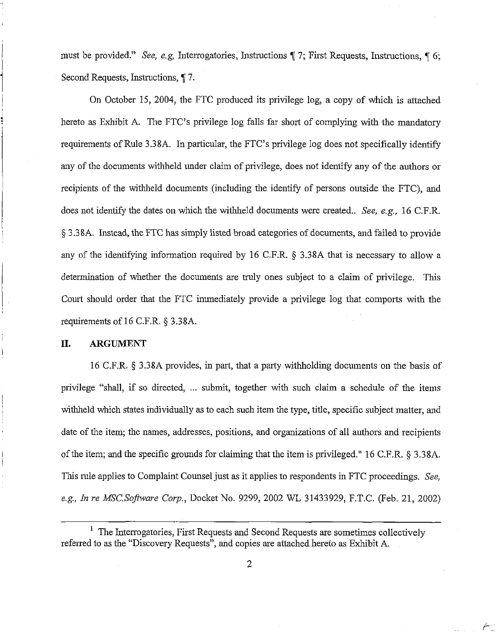must be provided." *See, e.g, Interrogatories, Instructions* 17; First Requests, Instructions, 16; Second Requests, Instructions,  $\P$  7.

On October 15, 2004, the FTC produced its privilege log, a copy of which is attached hereto as Exhibit A. The FTC's privilege log falls far short of complying with the mandatory requirements of Rule 3.38A. In particular, the FTC's privilege log does not specifically identify any of the documents withheld under claim of privilege, does not identify any of the authors or recipients of the witlheld documents (including the identify of persons outside the FTC), and does not identify the dates on which the withheld documents were created.. *See, e.g.*, 16 C.F.R. *5* 3.38A. Instead, the FTC has simply listed broad categories of documents, and failed to provide any of the identifymg information required by 16 C.F.R. *5* 3.38A that is necessary to allow a determination of whether the documents are truly ones subject to a claim of privilege. This Court should order that the FTC immediately provide a privilege log that comports with the requirements of 16 C.F.R. *§* 3.38A.

#### **11.** ARGUMENT

16 C.F.R. § 3.38A provides, in part, that a party withholding documents on the basis of privilege "shall, if so directed, ... submit, together with such claim a schedule of the items withheld which states individually as to each such item the type, title, specific subject matter, and date of the item; the names, addresses, positions, and organizations of all authors and recipients of the item; and the specific grounds for claiming that the item is privileged." 16 C.F.R. § 3.38A. This rule applies to Complaint Counsel just as it applies to respondents in FTC proceedings. *See*, *e.g.,* In *re MSC.Sofliuare Cory.,* Docket No. 9299, 2002 WL 31433929, F.T.C. (Feb. 21, 2002)

 $1$  The Interrogatories, First Requests and Second Requests are sometimes collectively referred to as the "Discovery Requests", and copies are attached hereto as Exhibit A.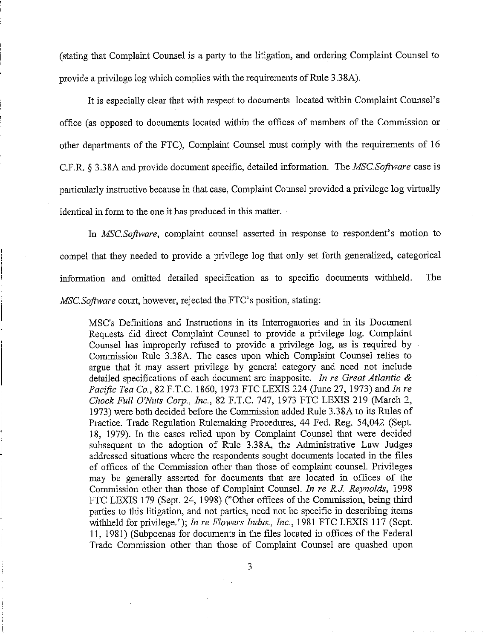(stating that Complaint Counsel is a party to the litigation, and ordering Complaint Counsel to provide a privilege log which complies with the requirements of Rule 3.38A).

It is especially clear that with respect to documents located within Complaint Counsel's office (as opposed to documents located within the offices of members of the Commission or other departments of the FTC), Complaint Counsel must comply with the requirements of 16 C.F.R. § 3.38A and provide document specific, detailed information. The *MSC.Software* case is particularly instructive because in that case, Complaint Counsel provided a privilege log virtually identical in form to the one it has produced in this matter.

In *MSC.Software*, complaint counsel asserted in response to respondent's motion to compel that they needed to provide a privilege log that only set forth generalized, categorical information and omitted detailed specification as to specific documents withheld. The *MSC Software* court, however, rejected the FTC's position, stating:

MSC's Definitions and Instructions in its Interrogatories and in its Document Requests did direct Complaint Counsel to provide a privilege log. Complaint Counsel has improperly refused to provide a privilege log, as is required by Commission Rule 3.38A. The cases upon which Complaint Counsel relies to argue that it may assert privilege by general category and need not include detailed specifications of each document are inapposite. In *re Great Atlantic* & *Pacific Tea Co.,* 82 F.T.C. 1860, 1973 FTC LEXIS 224 (June 27, 1973) and *In re Chock Full O'Nuts Corp.,* k., 82 F.T.C. 747, 1973 FTC LEXIS 219 (March 2, 1973) were both decided before the Commission added Rule 3.38A to its Rules of Practice. Trade Regulation Rulemaking Procedures, 44 Fed. Reg. 54,042 (Sept. 18, 1979). In the cases relied upon by Complaint Counsel that were decided subsequent to the adoption of Rule 3.38A, the Administrative Law Judges addressed situations where the respondents sought documents located in the files of offices of the Commission other than those of complaint counsel. Privileges may be generally asserted for documents that are located in offices of the Commission other than those of Complaint Counsel. *In re R.J. Reynolds,* 1998 FTC LEXIS 179 (Sept. 24, 1998) ("Other offices of the Commission, being third parties to this litigation, and not parties, need not be specific in describing items withheld for privilege."); In re Flowers Indus., Inc., 1981 FTC LEXIS 117 (Sept. 11, 1981) (Subpoenas for docuinents in the files located in offices of the Federal Trade Commission other than those of Complaint Counsel are quashed upon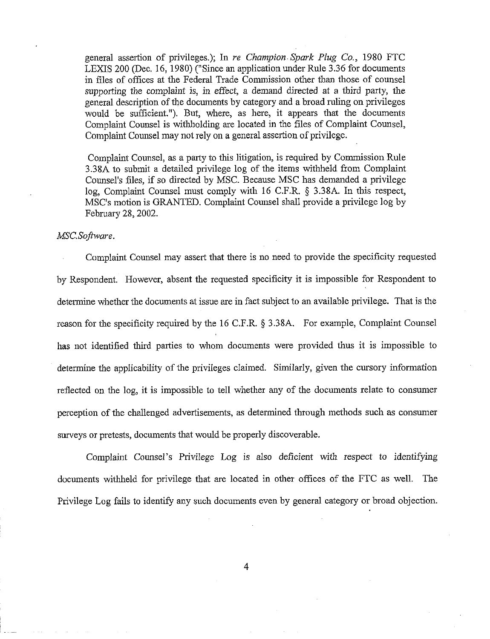general assertion of privileges.); In *re Champion Spark Plug Co.*, 1980 FTC LEXIS 200 (Dec. 16, 1980) ("Since an application under Rule 3.36 for documents in files of offices at the Federal Trade Commission other than those of counsel supporting the complaint is, in effect, a demand directed at a third party, the general description of the documents by category and a broad ruling on privileges would be sufficient."). But, where, as here, it appears that the documents Complaint Counsel is withholding are located in the files of Complaint Counsel, Complaint Counsel may not rely on a general assertion of privilege.

Complaint Counsel, as a party to this litigation, is required by Conunission Rule 3.38A to submit a detailed privilege log of the items withheld from Complaint Counsel's files, if so directed by MSC. Because MSC has demanded a privilege log, Complaint Counsel must comply with 16 C.F.R. § 3.38A. In this respect, MSC's motion is GRANTED. Comnplaint Counsel shall provide a privilege log by February 28,2002.

### MSC.Software.

Complaint Counsel may assert that there is no need to provide the specificity requested by Respondent. However, absent the requested specificity it is impossible for Respondent to determine whether the documents at issue are in fact subject to an available privilege. That is the reason for the specificity required by the 16 C.F.R. § 3.38A. For example, Complaint Counsel has not identified third parties to whom documents were provided thus it is impossible to determine the applicability of the privileges claimed. Similarly, given the cursory information reflected on the log, it is impossible to tell whether any of the documents relate to consumer perception of the challenged advertisements, as determined through methods such as consumer surveys or pretests, documents that would be properly discoverable.

Complaint Counsel's Privilege Log is also deficient with respect to identifying docunents withheld for privilege that are located in other offices of the FTC as well. The Privilege Log fails to identify any such documents even by general category or broad objection.

 $\overline{4}$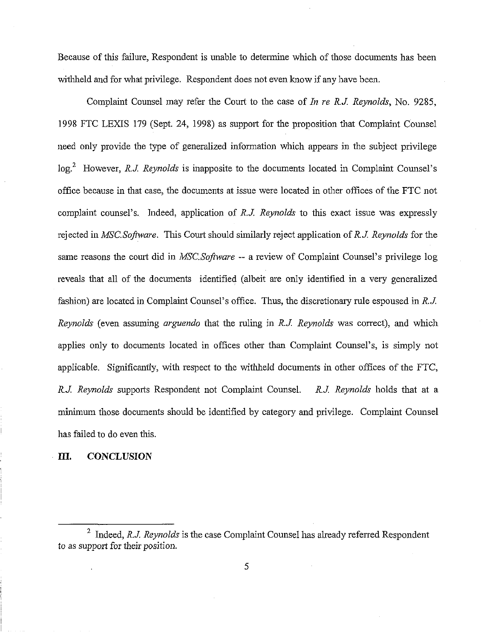Because of ihis failure, Respondent is unable to determine which of those documents has been withheld and for what privilege. Respondent does not even know if any have been.

Comnplaint Counsel may refer lhe Court to the case of *In re R.J. Reynolds,* No. 9285, 1998 FTC LEXIS 179 (Sept. 24, 1998) as support for the proposition that Complaint Counsel need only provide the type of generalized information which appears in the subject privilege log.? However, *R.J. Reynolds* is inapposite to the documents located in Complaint Counsel's office because in that case, the documents at issue were located in other offices of the FTC not comnplaint counsel's. Indeed, application of *R.J. Reynolds* to ihis exact issue was expressly rejected in *MSC.Software*. This Court should similarly reject application of *R.J. Reynolds* for the same reasons the court did in *MSC.Software* -- a review of Complaint Counsel's privilege log reveals that all of the documents identified (albeit are only identified in a very generalized fashion) are located in Complaint Counsel's office. Thus, the discretionary rule espoused in *R.J. Reynolds* (even assuming *arguendo* that the ruling in *R.J. Reynolds* was correct), and which applies only to documents located in offices other than Complaint Counsel's, is simply not applicable. Significantly, with respect to the withheld documents in other offices of the FTC, *R.J. Reynolds* supports Respondent not Complaint Counsel. *R.J. Reynolds* holds that at a minimum those documents should be identified by category and privilege. Complaint Counsel has failed to do even this.

## m. **CONCLUSION**

<sup>&</sup>lt;sup>2</sup> Indeed, *R.J. Reynolds* is the case Complaint Counsel has already referred Respondent to as support for their position.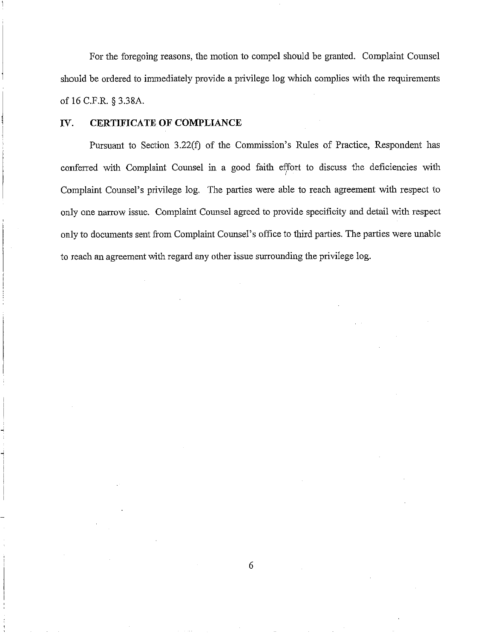For the foregoing reasons, the motion to compel should be granted. Complaint Counsel should be ordered to immediately provide a privilege log which complies with the requirements of 16 C.F.R. *5* **3.38A.** 

## **IV. CERTIFICATE OF COMPLIANCE**

Pursuant to Section 3.22(f) of the Commission's Rules of Practice, Respondent has conferred with Complaint Counsel in a good faith effort to discuss the deficiencies with Complaint Counsel's privilege log. The parties were able to reach agreement with respect to only one narrow issue. Complaint Counsel agreed to provide specificity and detail with respect only to documents sent from Complaint Counsel's office to third parties. The parties were unable to reach an agreement with regard any other issue surrounding the privilege log.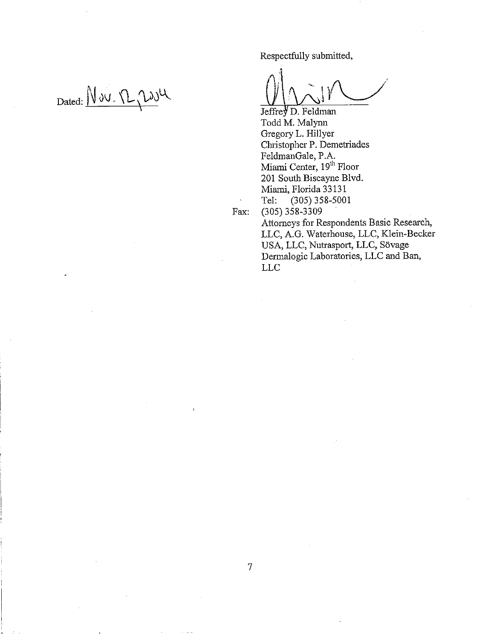Dated: Nov. Rush

Respectfully submitted,

Jeffrey D. Feldman Todd M. Malym Gregory L. Hillyer Christopher P. Demetriades FeldmanGale, P.A. Miami Center, 19<sup>th</sup> Floor 201 South Biscayne Blvd. Miami, Florida 33131<br>Tel: (305) 358-500  $(305)$  358-5001

Fax: (305)358-3309 Attorneys for Respondents Basic Research, LLC, A.G. Waterhouse, LLC, Klein-Becker USA, LLC, Nutrasport, LLC, Sovage Dermalogic Laboratories, LLC and Ban, LLC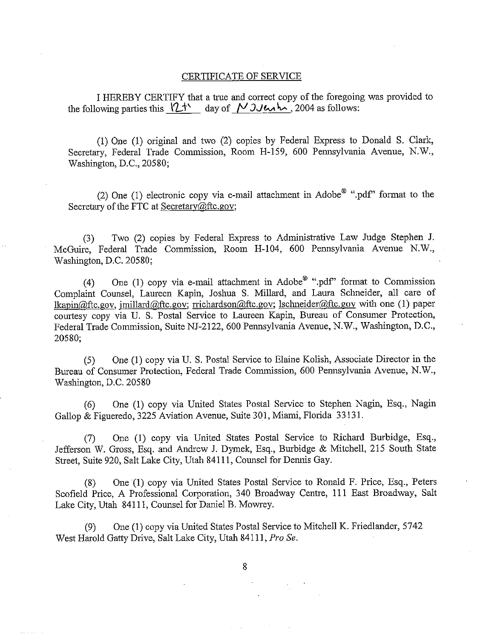### CERTIFICATE OF SERVICE

I HEREBY CERTIFY that a true md correct copy of the foregoing was provided to the following parties this  $(2.1)$  day of  $N$  *3 Jb*  $\mu$ , 2004 as follows:

(1) One (1) original and two (2) copies by Federal Express to Donald S. Clark, Secretary, Federal Trade Commission, Room H-159, 600 Pennsylvania Avenue, N.W., Washington, D.C., 20580;

(2) One (1) electronic copy via e-mail attachment in Adobe<sup>®</sup> ".pdf" format to the Secretary of the FTC at Secretary@ftc.gov;

(3) Two (2) copies by Federal Express to Administrative Law Judge Stephen J. McGuire, Federal Trade Commission, Room H-104, 600 Pennsylvania Avenue N.W., Washington, D.C. 20580;

(4) One (1) copy via e-mail attachment in Adobe<sup>®</sup> ".pdf" format to Commission Complaint Counsel, Laureen Kapin, Joshua S. Millard, and Laura Schneider, all care of lkapin@ftc.gov, imillard@ftc.gov; rrichardson@ftc.gov; lschueider@ftc.gov with one (1) paper courtesy copy via U. S. Postal Service to Laureen Kapin, Bureau of Consumer Protection, Federal Trade Commission, Suite NJ-2122, 600 Pennsylvania Avenue, N.W., Washington, D.C., 20580;

(5) One (1) copy via U. S. Postal Service to Elaine Kolish, Associate Director in the Bureau of Consumer Protection, Federal Trade Commission, 600 Pennsylvania Avenue, N.W., Washington, D.C. 20580

(6) One (1) copy via United States Postal Service to Stephen Nagin, Esq., Nagin Gallop & Figueredo, 3225 Aviation Avenue, Suite 301, Miami, Florida 33 13 1.

(7) One (1) copy via United States Postal Service to Richard Burbidge, Esq., Jefferson W. Gross, Esq. and Andrew J. Dynek, Esq., Burbidge & Mitchell, 215 South State Street, Suite 920, Salt Lake City, Utah 841 11, Counsel for Dennis Gay.

(8) One (1) copy via United States Postal Service to Ronald F. Price, Esq., Peters Scofield Price, A Professional Corporation, 340 Broadway Centre, 111 East Broadway, Salt Lake City, Utah 84111, Counsel for Daniel B. Mowrey.

(9) One (1) copy via United States Postal Service to Mitchell K. Friedlmder, 5742 West Harold Gatty Drive, Salt Lake City, Utah 84111, Pro Se.

8